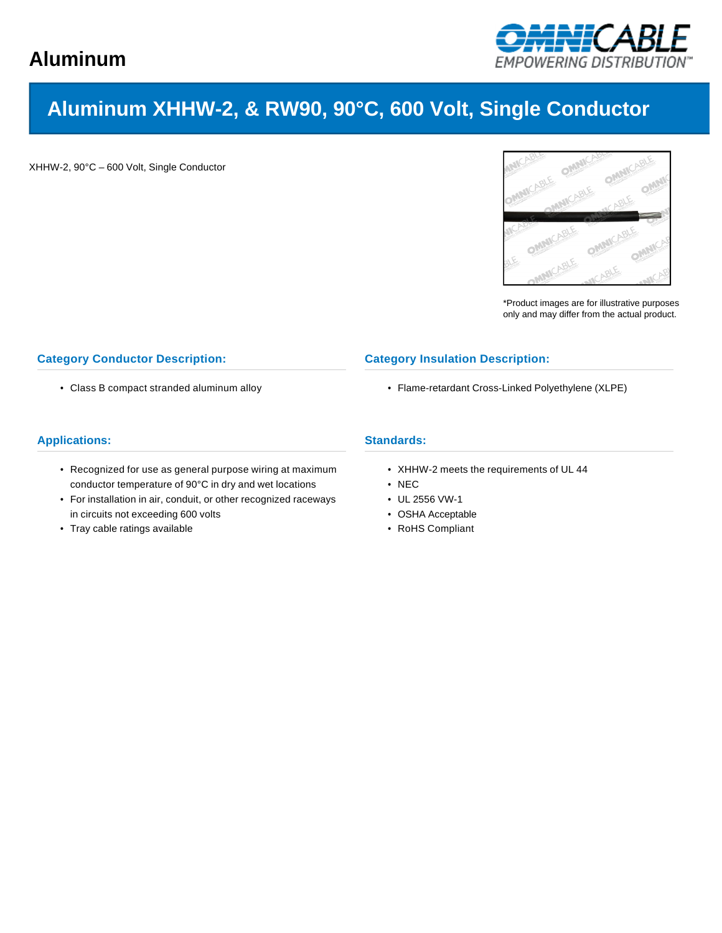

# **Aluminum XHHW-2, & RW90, 90°C, 600 Volt, Single Conductor**

XHHW-2, 90°C – 600 Volt, Single Conductor



\*Product images are for illustrative purposes only and may differ from the actual product.

## **Category Conductor Description:**

• Class B compact stranded aluminum alloy

#### **Category Insulation Description:**

• Flame-retardant Cross-Linked Polyethylene (XLPE)

## **Applications:**

- Recognized for use as general purpose wiring at maximum conductor temperature of 90°C in dry and wet locations
- For installation in air, conduit, or other recognized raceways in circuits not exceeding 600 volts
- Tray cable ratings available

### **Standards:**

- XHHW-2 meets the requirements of UL 44
- NEC
- UL 2556 VW-1
- OSHA Acceptable
- RoHS Compliant